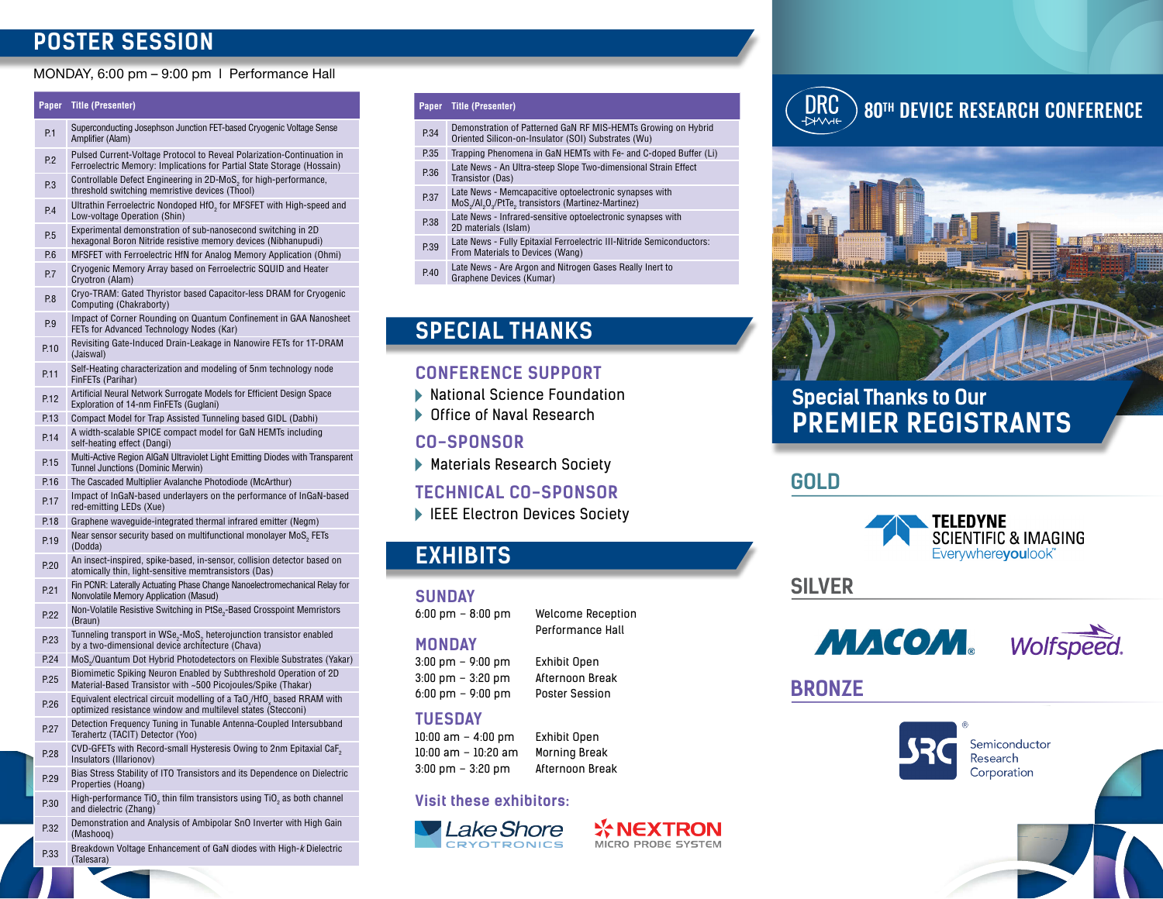## **POSTER SESSION**

## MONDAY, 6:00 pm – 9:00 pm l Performance Hall

## **Paper Title (Presenter)**

- Superconducting Josephson Junction FET-based Cryogenic Voltage Sense Amplifier (Alam)
- P.2 Pulsed Current-Voltage Protocol to Reveal Polarization-Continuation in Ferroelectric Memory: Implications for Partial State Storage (Hossain)
- $P.3$  Controllable Defect Engineering in 2D-MoS<sub>2</sub> for high-performance,<br>throphold switching memrician devices (Thool) threshold switching memristive devices (Thool)
- $P.4$  Ultrathin Ferroelectric Nondoped HfO<sub>2</sub> for MFSFET with High-speed and Low velters Operation (Ship) Low-voltage Operation (Shin)
- P.5 Experimental demonstration of sub-nanosecond switching in 2D hexagonal Boron Nitride resistive memory devices (Nibhanupudi)
- P.6 MFSFET with Ferroelectric HfN for Analog Memory Application (Ohmi)
- P.7 Cryogenic Memory Array based on Ferroelectric SQUID and Heater Cryotron (Alam)
- P.8 Cryo-TRAM: Gated Thyristor based Capacitor-less DRAM for Cryogenic Computing (Chakraborty)
- P.9 Impact of Corner Rounding on Quantum Confinement in GAA Nanosheet FETs for Advanced Technology Nodes (Kar)
- P.10 Revisiting Gate-Induced Drain-Leakage in Nanowire FETs for 1T-DRAM (Jaiswal)
- P.11 Self-Heating characterization and modeling of 5nm technology node FinFETs (Parihar)
- P.12 Artificial Neural Network Surrogate Models for Efficient Design Space Exploration of 14-nm FinFETs (Guglani)
- P.13 Compact Model for Trap Assisted Tunneling based GIDL (Dabhi)
- P.14 A width-scalable SPICE compact model for GaN HEMTs including self-heating effect (Dangi)
- P.15 Multi-Active Region AlGaN Ultraviolet Light Emitting Diodes with Transparent Tunnel Junctions (Dominic Merwin)
- P.16 The Cascaded Multiplier Avalanche Photodiode (McArthur)
- P.17 Impact of InGaN-based underlayers on the performance of InGaN-based red-emitting LEDs (Xue)
- P.18 Graphene waveguide-integrated thermal infrared emitter (Negm)
- $P.19$  Near sensor security based on multifunctional monolayer MoS<sub>2</sub> FETs (Dodda)
- P.20 An insect-inspired, spike-based, in-sensor, collision detector based on atomically thin, light-sensitive memtransistors (Das)
- P.21 Fin PCNR: Laterally Actuating Phase Change Nanoelectromechanical Relay for Nonvolatile Memory Application (Masud)
- P.22 Mon-Volatile Resistive Switching in PtSe<sub>2</sub>-Based Crosspoint Memristors (Braun)
- $P.23$  Tunneling transport in WSe<sub>2</sub>-MoS<sub>2</sub> heterojunction transistor enabled<br> $P.23$  heterographic to the dimensional devias architecture (Chove) by a two-dimensional device architecture (Chava)
- P.24 MoS<sub>2</sub>/Quantum Dot Hybrid Photodetectors on Flexible Substrates (Yakar)
- P.25 Biomimetic Spiking Neuron Enabled by Subthreshold Operation of 2D Material-Based Transistor with ~500 Picojoules/Spike (Thakar)
- P.26 Equivalent electrical circuit modelling of a TaO /HfO, based RRAM with<br>
entimized registance window and multilevel atotes (Staceani) optimized resistance window and multilevel states (Stecconi)
- P.27 Detection Frequency Tuning in Tunable Antenna-Coupled Intersubband Terahertz (TACIT) Detector (Yoo)
- P.28 CVD-GFETs with Record-small Hysteresis Owing to 2nm Epitaxial CaF<sub>2</sub> Insulators (Illarionov)
- P.29 Bias Stress Stability of ITO Transistors and its Dependence on Dielectric Properties (Hoang)
- $P.30$  High-performance TiO<sub>2</sub> thin film transistors using TiO<sub>2</sub> as both channel and dielectric (Zhang)
- P.32 Demonstration and Analysis of Ambipolar SnO Inverter with High Gain (Mashooq)
- P.33 Breakdown Voltage Enhancement of GaN diodes with High-*k* Dielectric (Talesara)

## **Paper Title (Presenter)**

- P.34 Demonstration of Patterned GaN RF MIS-HEMTs Growing on Hybrid Oriented Silicon-on-Insulator (SOI) Substrates (Wu)
- P.35 Trapping Phenomena in GaN HEMTs with Fe- and C-doped Buffer (Li)
- P.36 Late News An Ultra-steep Slope Two-dimensional Strain Effect Transistor (Das)
- P.37 Late News Memcapacitive optoelectronic synapses with MoS<sub>2</sub>/Al<sub>2</sub>O<sub>3</sub>/PtTe<sub>2</sub> transistors (Martinez-Martinez)
- P.38 Late News Infrared-sensitive optoelectronic synapses with 2D materials (Islam)
- P.39 Late News Fully Epitaxial Ferroelectric III-Nitride Semiconductors: From Materials to Devices (Wang)
- P.40 Late News Are Argon and Nitrogen Gases Really Inert to Graphene Devices (Kumar)

## **SPECIAL THANKS**

## **CONFERENCE SUPPORT**

- National Science Foundation
- Office of Naval Research

## **CO-SPONSOR**

Materials Research Society

## **TECHNICAL CO-SPONSOR**

IEEE Electron Devices Society

## **EXHIBITS**

## **SUNDAY**

6:00 pm – 8:00 pm Welcome Reception

## Performance Hall

## **MONDAY**

3:00 pm – 9:00 pm Exhibit Open

## **TUESDAY**

## **Visit these exhibitors:**



# DRC

## 80<sup>th</sup> DEVICE RESEARCH CONFERENCE



## **Special Thanks to Our PREMIER REGISTRANTS**

**GOLD**



**SILVER**



## **BRONZE**



Semiconductor Research Corporation

3:00 pm – 3:20 pm Afternoon Break 6:00 pm – 9:00 pm Poster Session



**WNEXTRON** MICRO PROBE SYSTEM

10:00 am – 4:00 pm Exhibit Open 10:00 am – 10:20 am Morning Break 3:00 pm – 3:20 pm Afternoon Break